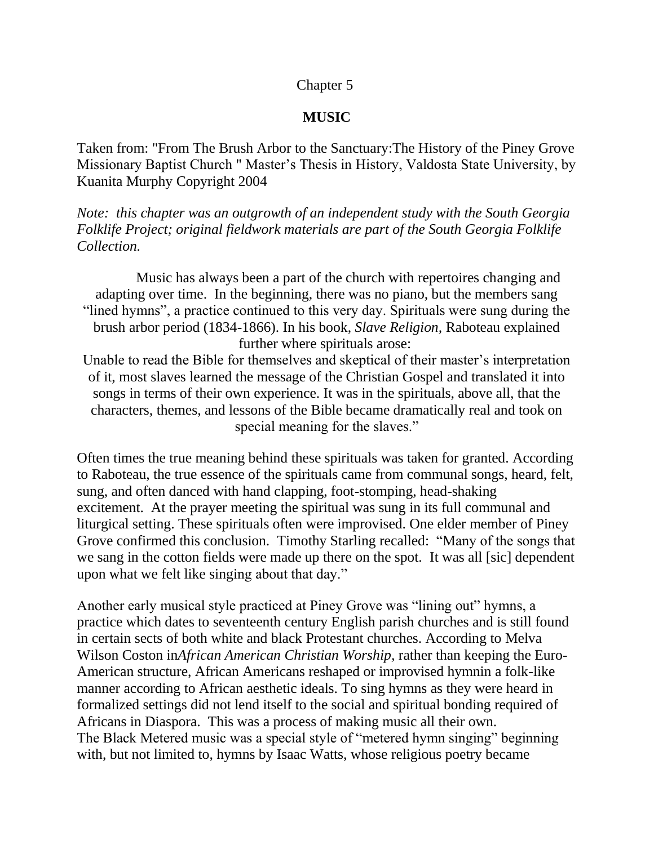## Chapter 5

## **MUSIC**

Taken from: "From The Brush Arbor to the Sanctuary:The History of the Piney Grove Missionary Baptist Church " Master's Thesis in History, Valdosta State University, by Kuanita Murphy Copyright 2004

*Note: this chapter was an outgrowth of an independent study with the South Georgia Folklife Project; original fieldwork materials are part of the South Georgia Folklife Collection.*

 Music has always been a part of the church with repertoires changing and adapting over time. In the beginning, there was no piano, but the members sang "lined hymns", a practice continued to this very day. Spirituals were sung during the brush arbor period (1834-1866). In his book, *Slave Religion,* Raboteau explained further where spirituals arose:

Unable to read the Bible for themselves and skeptical of their master's interpretation of it, most slaves learned the message of the Christian Gospel and translated it into songs in terms of their own experience. It was in the spirituals, above all, that the characters, themes, and lessons of the Bible became dramatically real and took on special meaning for the slaves."

Often times the true meaning behind these spirituals was taken for granted. According to Raboteau, the true essence of the spirituals came from communal songs, heard, felt, sung, and often danced with hand clapping, foot-stomping, head-shaking excitement. At the prayer meeting the spiritual was sung in its full communal and liturgical setting. These spirituals often were improvised. One elder member of Piney Grove confirmed this conclusion. Timothy Starling recalled: "Many of the songs that we sang in the cotton fields were made up there on the spot. It was all [sic] dependent upon what we felt like singing about that day."

Another early musical style practiced at Piney Grove was "lining out" hymns, a practice which dates to seventeenth century English parish churches and is still found in certain sects of both white and black Protestant churches. According to Melva Wilson Coston in*African American Christian Worship,* rather than keeping the Euro-American structure, African Americans reshaped or improvised hymnin a folk-like manner according to African aesthetic ideals. To sing hymns as they were heard in formalized settings did not lend itself to the social and spiritual bonding required of Africans in Diaspora. This was a process of making music all their own. The Black Metered music was a special style of "metered hymn singing" beginning with, but not limited to, hymns by Isaac Watts, whose religious poetry became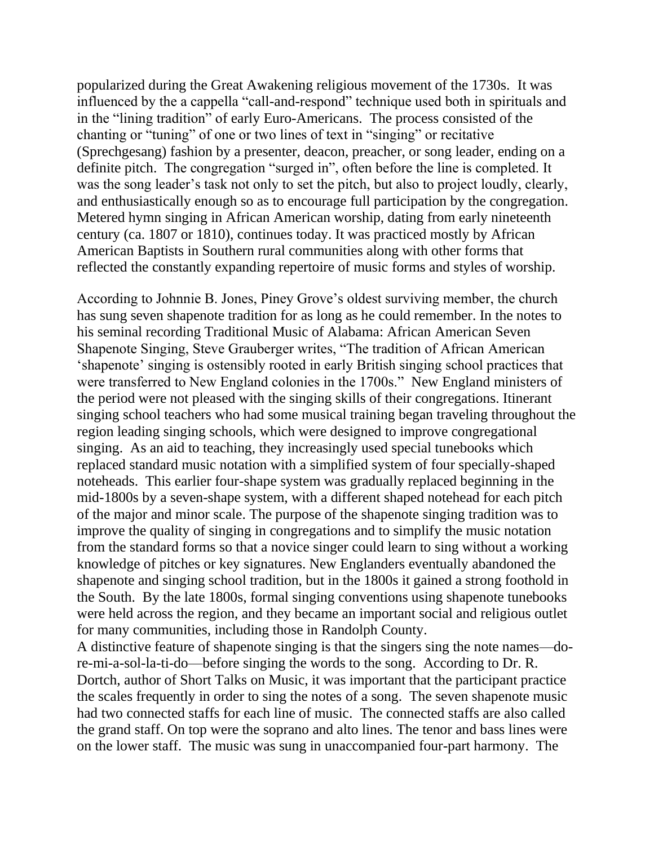popularized during the Great Awakening religious movement of the 1730s. It was influenced by the a cappella "call-and-respond" technique used both in spirituals and in the "lining tradition" of early Euro-Americans. The process consisted of the chanting or "tuning" of one or two lines of text in "singing" or recitative (Sprechgesang) fashion by a presenter, deacon, preacher, or song leader, ending on a definite pitch. The congregation "surged in", often before the line is completed. It was the song leader's task not only to set the pitch, but also to project loudly, clearly, and enthusiastically enough so as to encourage full participation by the congregation. Metered hymn singing in African American worship, dating from early nineteenth century (ca. 1807 or 1810), continues today. It was practiced mostly by African American Baptists in Southern rural communities along with other forms that reflected the constantly expanding repertoire of music forms and styles of worship.

According to Johnnie B. Jones, Piney Grove's oldest surviving member, the church has sung seven shapenote tradition for as long as he could remember. In the notes to his seminal recording Traditional Music of Alabama: African American Seven Shapenote Singing, Steve Grauberger writes, "The tradition of African American 'shapenote' singing is ostensibly rooted in early British singing school practices that were transferred to New England colonies in the 1700s." New England ministers of the period were not pleased with the singing skills of their congregations. Itinerant singing school teachers who had some musical training began traveling throughout the region leading singing schools, which were designed to improve congregational singing. As an aid to teaching, they increasingly used special tunebooks which replaced standard music notation with a simplified system of four specially-shaped noteheads. This earlier four-shape system was gradually replaced beginning in the mid-1800s by a seven-shape system, with a different shaped notehead for each pitch of the major and minor scale. The purpose of the shapenote singing tradition was to improve the quality of singing in congregations and to simplify the music notation from the standard forms so that a novice singer could learn to sing without a working knowledge of pitches or key signatures. New Englanders eventually abandoned the shapenote and singing school tradition, but in the 1800s it gained a strong foothold in the South. By the late 1800s, formal singing conventions using shapenote tunebooks were held across the region, and they became an important social and religious outlet for many communities, including those in Randolph County.

A distinctive feature of shapenote singing is that the singers sing the note names—dore-mi-a-sol-la-ti-do—before singing the words to the song. According to Dr. R. Dortch, author of Short Talks on Music, it was important that the participant practice the scales frequently in order to sing the notes of a song. The seven shapenote music had two connected staffs for each line of music. The connected staffs are also called the grand staff. On top were the soprano and alto lines. The tenor and bass lines were on the lower staff. The music was sung in unaccompanied four-part harmony. The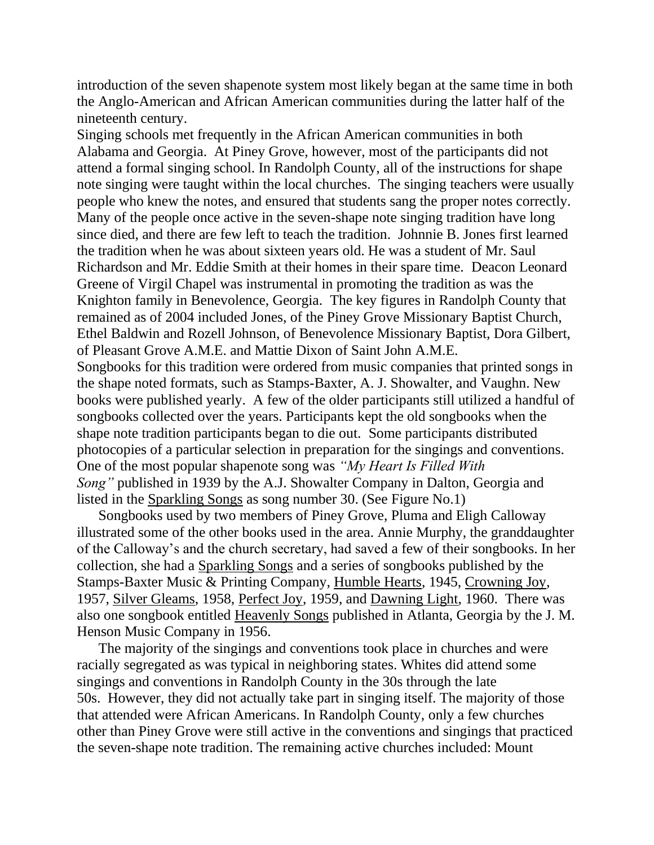introduction of the seven shapenote system most likely began at the same time in both the Anglo-American and African American communities during the latter half of the nineteenth century.

Singing schools met frequently in the African American communities in both Alabama and Georgia. At Piney Grove, however, most of the participants did not attend a formal singing school. In Randolph County, all of the instructions for shape note singing were taught within the local churches. The singing teachers were usually people who knew the notes, and ensured that students sang the proper notes correctly. Many of the people once active in the seven-shape note singing tradition have long since died, and there are few left to teach the tradition. Johnnie B. Jones first learned the tradition when he was about sixteen years old. He was a student of Mr. Saul Richardson and Mr. Eddie Smith at their homes in their spare time. Deacon Leonard Greene of Virgil Chapel was instrumental in promoting the tradition as was the Knighton family in Benevolence, Georgia. The key figures in Randolph County that remained as of 2004 included Jones, of the Piney Grove Missionary Baptist Church, Ethel Baldwin and Rozell Johnson, of Benevolence Missionary Baptist, Dora Gilbert, of Pleasant Grove A.M.E. and Mattie Dixon of Saint John A.M.E.

Songbooks for this tradition were ordered from music companies that printed songs in the shape noted formats, such as Stamps-Baxter, A. J. Showalter, and Vaughn. New books were published yearly. A few of the older participants still utilized a handful of songbooks collected over the years. Participants kept the old songbooks when the shape note tradition participants began to die out. Some participants distributed photocopies of a particular selection in preparation for the singings and conventions. One of the most popular shapenote song was *"My Heart Is Filled With Song"* published in 1939 by the A.J. Showalter Company in Dalton, Georgia and listed in the Sparkling Songs as song number 30. (See Figure No.1)

 Songbooks used by two members of Piney Grove, Pluma and Eligh Calloway illustrated some of the other books used in the area. Annie Murphy, the granddaughter of the Calloway's and the church secretary, had saved a few of their songbooks. In her collection, she had a Sparkling Songs and a series of songbooks published by the Stamps-Baxter Music & Printing Company, Humble Hearts, 1945, Crowning Joy, 1957, Silver Gleams, 1958, Perfect Joy, 1959, and Dawning Light, 1960. There was also one songbook entitled Heavenly Songs published in Atlanta, Georgia by the J. M. Henson Music Company in 1956.

 The majority of the singings and conventions took place in churches and were racially segregated as was typical in neighboring states. Whites did attend some singings and conventions in Randolph County in the 30s through the late 50s. However, they did not actually take part in singing itself. The majority of those that attended were African Americans. In Randolph County, only a few churches other than Piney Grove were still active in the conventions and singings that practiced the seven-shape note tradition. The remaining active churches included: Mount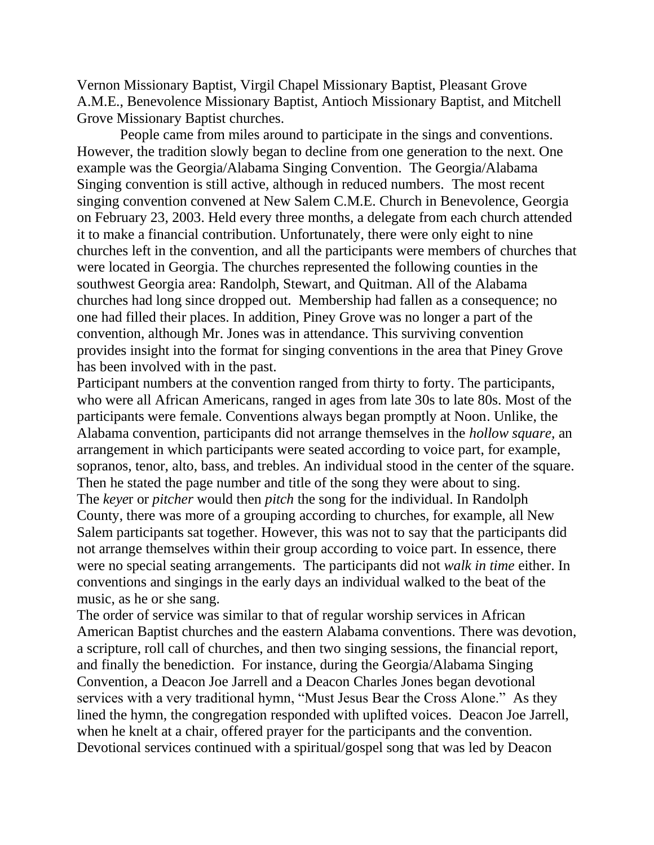Vernon Missionary Baptist, Virgil Chapel Missionary Baptist, Pleasant Grove A.M.E., Benevolence Missionary Baptist, Antioch Missionary Baptist, and Mitchell Grove Missionary Baptist churches.

 People came from miles around to participate in the sings and conventions. However, the tradition slowly began to decline from one generation to the next. One example was the Georgia/Alabama Singing Convention. The Georgia/Alabama Singing convention is still active, although in reduced numbers. The most recent singing convention convened at New Salem C.M.E. Church in Benevolence, Georgia on February 23, 2003. Held every three months, a delegate from each church attended it to make a financial contribution. Unfortunately, there were only eight to nine churches left in the convention, and all the participants were members of churches that were located in Georgia. The churches represented the following counties in the southwest Georgia area: Randolph, Stewart, and Quitman. All of the Alabama churches had long since dropped out. Membership had fallen as a consequence; no one had filled their places. In addition, Piney Grove was no longer a part of the convention, although Mr. Jones was in attendance. This surviving convention provides insight into the format for singing conventions in the area that Piney Grove has been involved with in the past.

Participant numbers at the convention ranged from thirty to forty. The participants, who were all African Americans, ranged in ages from late 30s to late 80s. Most of the participants were female. Conventions always began promptly at Noon. Unlike, the Alabama convention, participants did not arrange themselves in the *hollow square,* an arrangement in which participants were seated according to voice part, for example, sopranos, tenor, alto, bass, and trebles. An individual stood in the center of the square. Then he stated the page number and title of the song they were about to sing. The *keye*r or *pitcher* would then *pitch* the song for the individual. In Randolph County, there was more of a grouping according to churches, for example, all New Salem participants sat together. However, this was not to say that the participants did not arrange themselves within their group according to voice part. In essence, there were no special seating arrangements. The participants did not *walk in time* either. In conventions and singings in the early days an individual walked to the beat of the music, as he or she sang.

The order of service was similar to that of regular worship services in African American Baptist churches and the eastern Alabama conventions. There was devotion, a scripture, roll call of churches, and then two singing sessions, the financial report, and finally the benediction. For instance, during the Georgia/Alabama Singing Convention, a Deacon Joe Jarrell and a Deacon Charles Jones began devotional services with a very traditional hymn, "Must Jesus Bear the Cross Alone." As they lined the hymn, the congregation responded with uplifted voices. Deacon Joe Jarrell, when he knelt at a chair, offered prayer for the participants and the convention. Devotional services continued with a spiritual/gospel song that was led by Deacon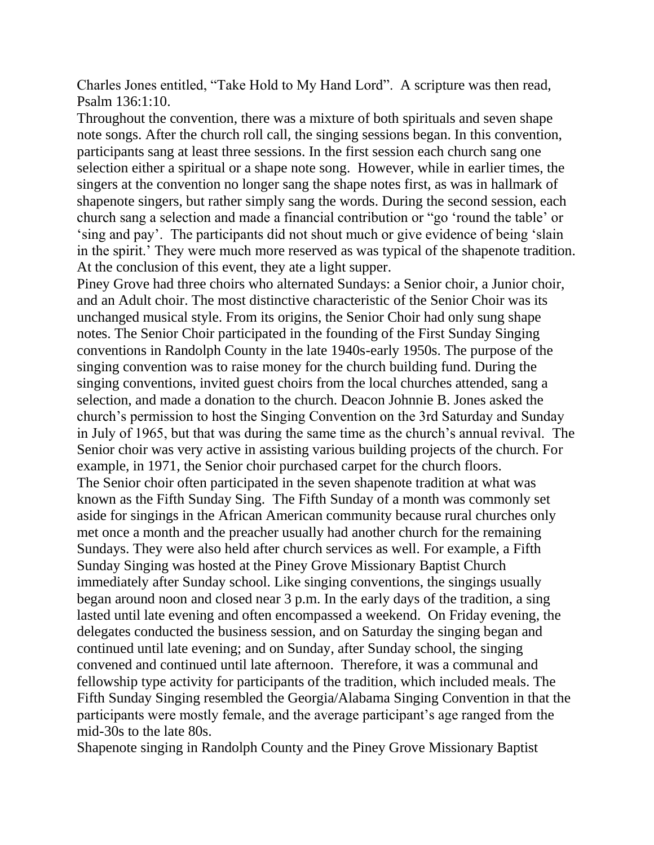Charles Jones entitled, "Take Hold to My Hand Lord". A scripture was then read, Psalm 136:1:10.

Throughout the convention, there was a mixture of both spirituals and seven shape note songs. After the church roll call, the singing sessions began. In this convention, participants sang at least three sessions. In the first session each church sang one selection either a spiritual or a shape note song. However, while in earlier times, the singers at the convention no longer sang the shape notes first, as was in hallmark of shapenote singers, but rather simply sang the words. During the second session, each church sang a selection and made a financial contribution or "go 'round the table' or 'sing and pay'. The participants did not shout much or give evidence of being 'slain in the spirit.' They were much more reserved as was typical of the shapenote tradition. At the conclusion of this event, they ate a light supper.

Piney Grove had three choirs who alternated Sundays: a Senior choir, a Junior choir, and an Adult choir. The most distinctive characteristic of the Senior Choir was its unchanged musical style. From its origins, the Senior Choir had only sung shape notes. The Senior Choir participated in the founding of the First Sunday Singing conventions in Randolph County in the late 1940s-early 1950s. The purpose of the singing convention was to raise money for the church building fund. During the singing conventions, invited guest choirs from the local churches attended, sang a selection, and made a donation to the church. Deacon Johnnie B. Jones asked the church's permission to host the Singing Convention on the 3rd Saturday and Sunday in July of 1965, but that was during the same time as the church's annual revival. The Senior choir was very active in assisting various building projects of the church. For example, in 1971, the Senior choir purchased carpet for the church floors. The Senior choir often participated in the seven shapenote tradition at what was known as the Fifth Sunday Sing. The Fifth Sunday of a month was commonly set aside for singings in the African American community because rural churches only met once a month and the preacher usually had another church for the remaining Sundays. They were also held after church services as well. For example, a Fifth Sunday Singing was hosted at the Piney Grove Missionary Baptist Church immediately after Sunday school. Like singing conventions, the singings usually began around noon and closed near 3 p.m. In the early days of the tradition, a sing lasted until late evening and often encompassed a weekend. On Friday evening, the delegates conducted the business session, and on Saturday the singing began and continued until late evening; and on Sunday, after Sunday school, the singing convened and continued until late afternoon. Therefore, it was a communal and fellowship type activity for participants of the tradition, which included meals. The Fifth Sunday Singing resembled the Georgia/Alabama Singing Convention in that the participants were mostly female, and the average participant's age ranged from the mid-30s to the late 80s.

Shapenote singing in Randolph County and the Piney Grove Missionary Baptist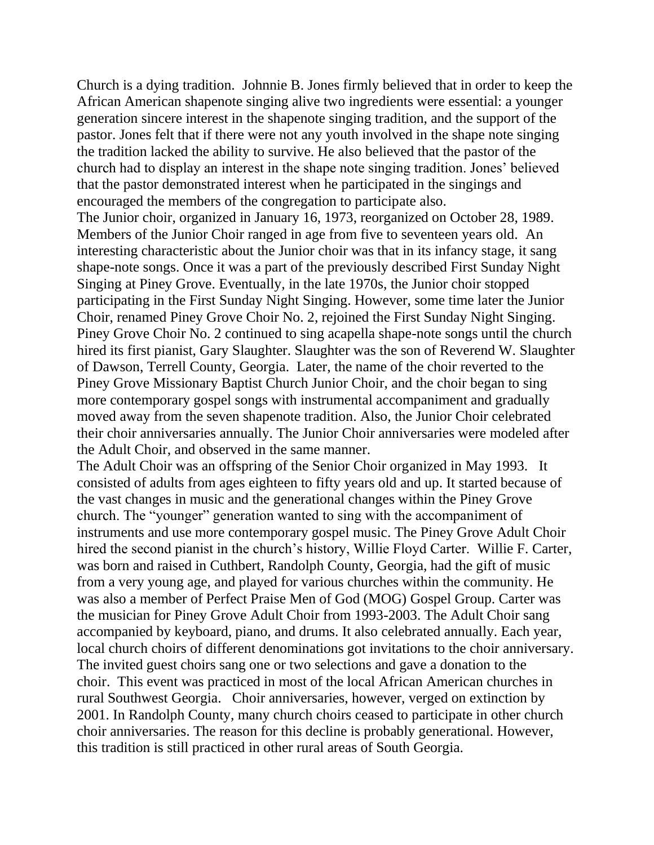Church is a dying tradition. Johnnie B. Jones firmly believed that in order to keep the African American shapenote singing alive two ingredients were essential: a younger generation sincere interest in the shapenote singing tradition, and the support of the pastor. Jones felt that if there were not any youth involved in the shape note singing the tradition lacked the ability to survive. He also believed that the pastor of the church had to display an interest in the shape note singing tradition. Jones' believed that the pastor demonstrated interest when he participated in the singings and encouraged the members of the congregation to participate also.

The Junior choir, organized in January 16, 1973, reorganized on October 28, 1989. Members of the Junior Choir ranged in age from five to seventeen years old. An interesting characteristic about the Junior choir was that in its infancy stage, it sang shape-note songs. Once it was a part of the previously described First Sunday Night Singing at Piney Grove. Eventually, in the late 1970s, the Junior choir stopped participating in the First Sunday Night Singing. However, some time later the Junior Choir, renamed Piney Grove Choir No. 2, rejoined the First Sunday Night Singing. Piney Grove Choir No. 2 continued to sing acapella shape-note songs until the church hired its first pianist, Gary Slaughter. Slaughter was the son of Reverend W. Slaughter of Dawson, Terrell County, Georgia. Later, the name of the choir reverted to the Piney Grove Missionary Baptist Church Junior Choir, and the choir began to sing more contemporary gospel songs with instrumental accompaniment and gradually moved away from the seven shapenote tradition. Also, the Junior Choir celebrated their choir anniversaries annually. The Junior Choir anniversaries were modeled after the Adult Choir, and observed in the same manner.

The Adult Choir was an offspring of the Senior Choir organized in May 1993. It consisted of adults from ages eighteen to fifty years old and up. It started because of the vast changes in music and the generational changes within the Piney Grove church. The "younger" generation wanted to sing with the accompaniment of instruments and use more contemporary gospel music. The Piney Grove Adult Choir hired the second pianist in the church's history, Willie Floyd Carter. Willie F. Carter, was born and raised in Cuthbert, Randolph County, Georgia, had the gift of music from a very young age, and played for various churches within the community. He was also a member of Perfect Praise Men of God (MOG) Gospel Group. Carter was the musician for Piney Grove Adult Choir from 1993-2003. The Adult Choir sang accompanied by keyboard, piano, and drums. It also celebrated annually. Each year, local church choirs of different denominations got invitations to the choir anniversary. The invited guest choirs sang one or two selections and gave a donation to the choir. This event was practiced in most of the local African American churches in rural Southwest Georgia. Choir anniversaries, however, verged on extinction by 2001. In Randolph County, many church choirs ceased to participate in other church choir anniversaries. The reason for this decline is probably generational. However, this tradition is still practiced in other rural areas of South Georgia.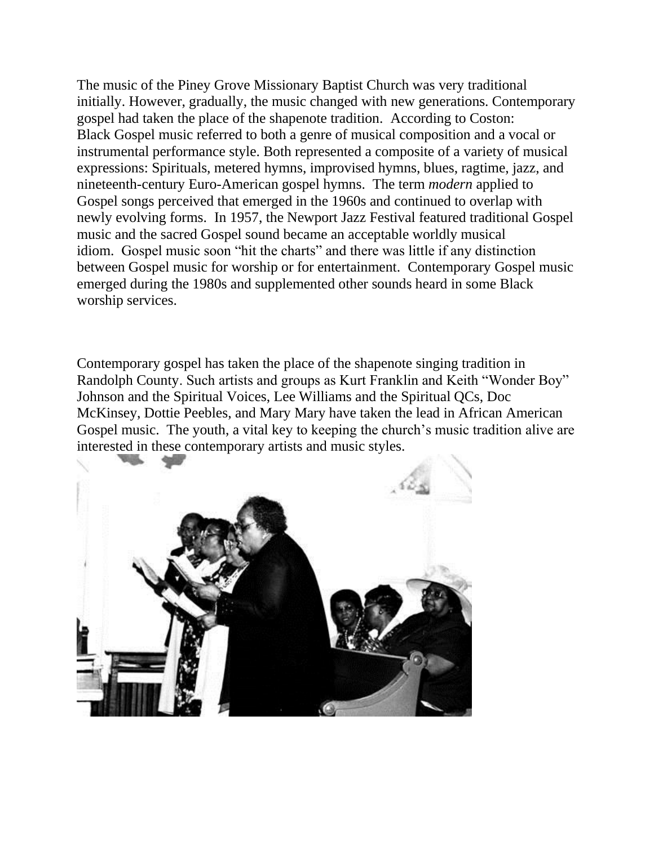The music of the Piney Grove Missionary Baptist Church was very traditional initially. However, gradually, the music changed with new generations. Contemporary gospel had taken the place of the shapenote tradition. According to Coston: Black Gospel music referred to both a genre of musical composition and a vocal or instrumental performance style. Both represented a composite of a variety of musical expressions: Spirituals, metered hymns, improvised hymns, blues, ragtime, jazz, and nineteenth-century Euro-American gospel hymns. The term *modern* applied to Gospel songs perceived that emerged in the 1960s and continued to overlap with newly evolving forms. In 1957, the Newport Jazz Festival featured traditional Gospel music and the sacred Gospel sound became an acceptable worldly musical idiom. Gospel music soon "hit the charts" and there was little if any distinction between Gospel music for worship or for entertainment. Contemporary Gospel music emerged during the 1980s and supplemented other sounds heard in some Black worship services.

Contemporary gospel has taken the place of the shapenote singing tradition in Randolph County. Such artists and groups as Kurt Franklin and Keith "Wonder Boy" Johnson and the Spiritual Voices, Lee Williams and the Spiritual QCs, Doc McKinsey, Dottie Peebles, and Mary Mary have taken the lead in African American Gospel music. The youth, a vital key to keeping the church's music tradition alive are interested in these contemporary artists and music styles.

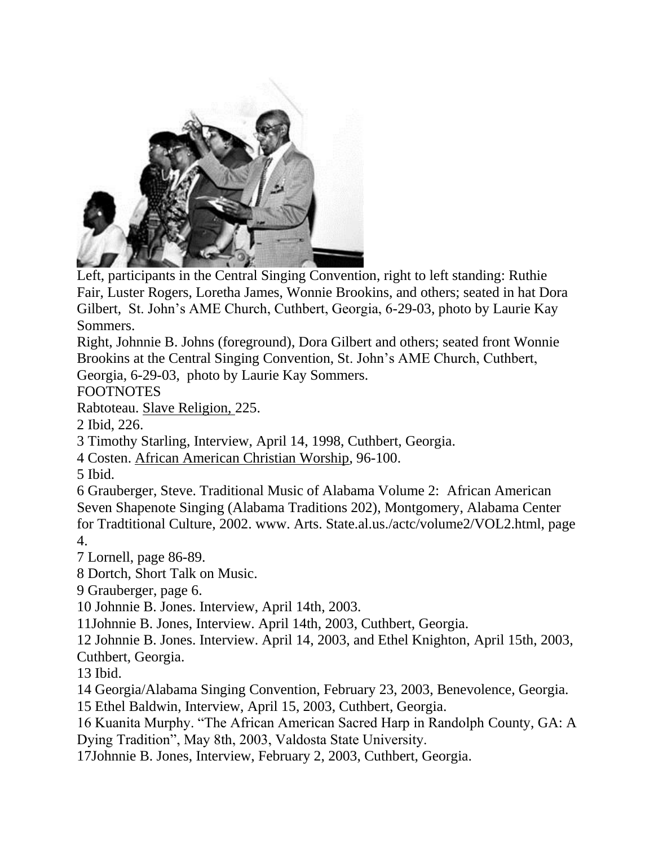

Left, participants in the Central Singing Convention, right to left standing: Ruthie Fair, Luster Rogers, Loretha James, Wonnie Brookins, and others; seated in hat Dora Gilbert, St. John's AME Church, Cuthbert, Georgia, 6-29-03, photo by Laurie Kay Sommers.

Right, Johnnie B. Johns (foreground), Dora Gilbert and others; seated front Wonnie Brookins at the Central Singing Convention, St. John's AME Church, Cuthbert, Georgia, 6-29-03, photo by Laurie Kay Sommers.

FOOTNOTES

Rabtoteau. Slave Religion, 225.

2 Ibid, 226.

3 Timothy Starling, Interview, April 14, 1998, Cuthbert, Georgia.

4 Costen. African American Christian Worship, 96-100.

5 Ibid.

6 Grauberger, Steve. Traditional Music of Alabama Volume 2: African American Seven Shapenote Singing (Alabama Traditions 202), Montgomery, Alabama Center for Tradtitional Culture, 2002. www. Arts. State.al.us./actc/volume2/VOL2.html, page 4.

7 Lornell, page 86-89.

8 Dortch, Short Talk on Music.

9 Grauberger, page 6.

10 Johnnie B. Jones. Interview, April 14th, 2003.

11Johnnie B. Jones, Interview. April 14th, 2003, Cuthbert, Georgia.

12 Johnnie B. Jones. Interview. April 14, 2003, and Ethel Knighton, April 15th, 2003,

Cuthbert, Georgia.

13 Ibid.

14 Georgia/Alabama Singing Convention, February 23, 2003, Benevolence, Georgia.

15 Ethel Baldwin, Interview, April 15, 2003, Cuthbert, Georgia.

16 Kuanita Murphy. "The African American Sacred Harp in Randolph County, GA: A Dying Tradition", May 8th, 2003, Valdosta State University.

17Johnnie B. Jones, Interview, February 2, 2003, Cuthbert, Georgia.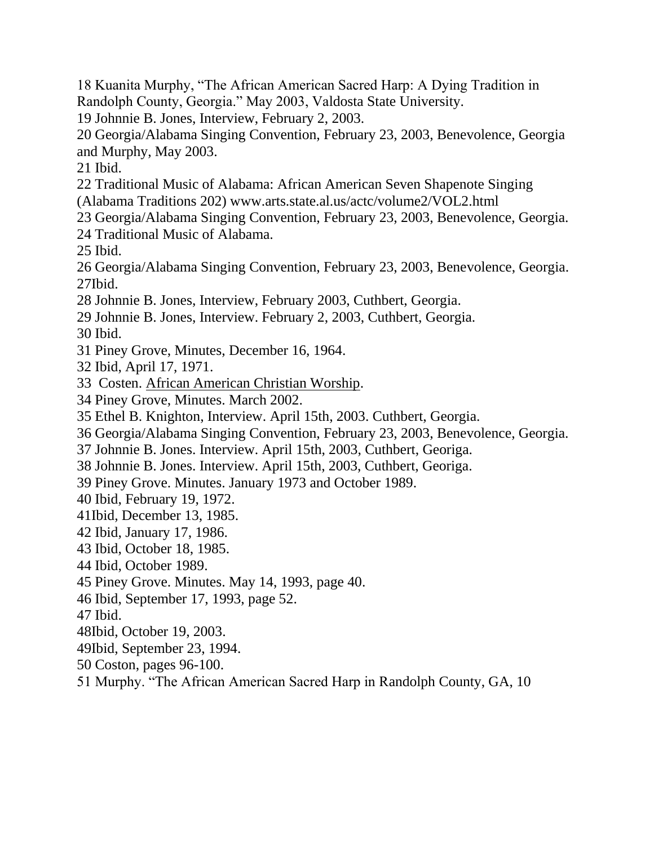- 18 Kuanita Murphy, "The African American Sacred Harp: A Dying Tradition in Randolph County, Georgia." May 2003, Valdosta State University.
- 19 Johnnie B. Jones, Interview, February 2, 2003.

20 Georgia/Alabama Singing Convention, February 23, 2003, Benevolence, Georgia and Murphy, May 2003.

21 Ibid.

- 22 Traditional Music of Alabama: African American Seven Shapenote Singing
- (Alabama Traditions 202) www.arts.state.al.us/actc/volume2/VOL2.html
- 23 Georgia/Alabama Singing Convention, February 23, 2003, Benevolence, Georgia.
- 24 Traditional Music of Alabama.

25 Ibid.

26 Georgia/Alabama Singing Convention, February 23, 2003, Benevolence, Georgia. 27Ibid.

- 28 Johnnie B. Jones, Interview, February 2003, Cuthbert, Georgia.
- 29 Johnnie B. Jones, Interview. February 2, 2003, Cuthbert, Georgia.

30 Ibid.

- 31 Piney Grove, Minutes, December 16, 1964.
- 32 Ibid, April 17, 1971.
- 33 Costen. African American Christian Worship.
- 34 Piney Grove, Minutes. March 2002.
- 35 Ethel B. Knighton, Interview. April 15th, 2003. Cuthbert, Georgia.
- 36 Georgia/Alabama Singing Convention, February 23, 2003, Benevolence, Georgia.
- 37 Johnnie B. Jones. Interview. April 15th, 2003, Cuthbert, Georiga.
- 38 Johnnie B. Jones. Interview. April 15th, 2003, Cuthbert, Georiga.
- 39 Piney Grove. Minutes. January 1973 and October 1989.
- 40 Ibid, February 19, 1972.
- 41Ibid, December 13, 1985.
- 42 Ibid, January 17, 1986.
- 43 Ibid, October 18, 1985.
- 44 Ibid, October 1989.
- 45 Piney Grove. Minutes. May 14, 1993, page 40.
- 46 Ibid, September 17, 1993, page 52.

47 Ibid.

- 48Ibid, October 19, 2003.
- 49Ibid, September 23, 1994.
- 50 Coston, pages 96-100.
- 51 Murphy. "The African American Sacred Harp in Randolph County, GA, 10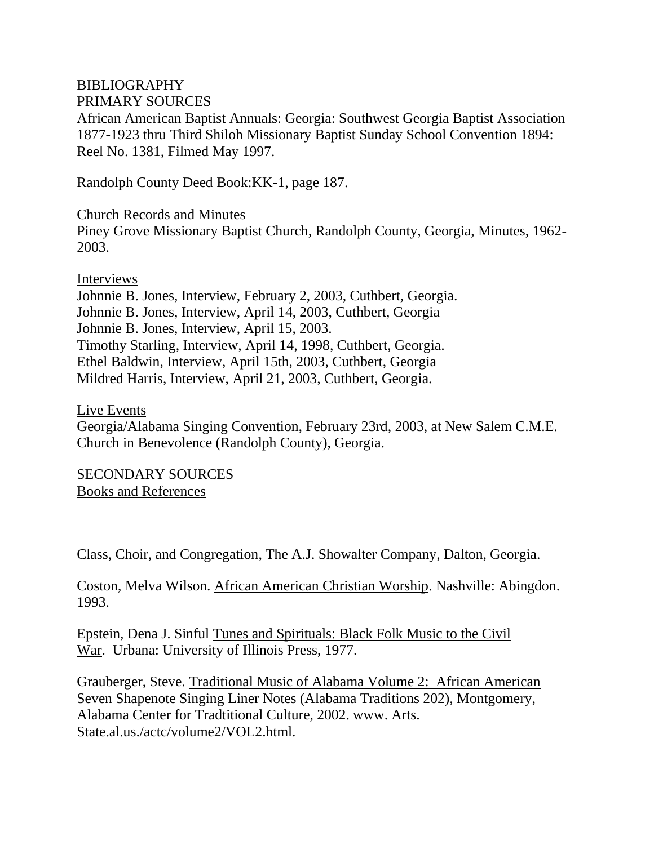## BIBLIOGRAPHY

PRIMARY SOURCES

African American Baptist Annuals: Georgia: Southwest Georgia Baptist Association 1877-1923 thru Third Shiloh Missionary Baptist Sunday School Convention 1894: Reel No. 1381, Filmed May 1997.

Randolph County Deed Book:KK-1, page 187.

Church Records and Minutes Piney Grove Missionary Baptist Church, Randolph County, Georgia, Minutes, 1962- 2003.

Interviews

Johnnie B. Jones, Interview, February 2, 2003, Cuthbert, Georgia. Johnnie B. Jones, Interview, April 14, 2003, Cuthbert, Georgia Johnnie B. Jones, Interview, April 15, 2003. Timothy Starling, Interview, April 14, 1998, Cuthbert, Georgia. Ethel Baldwin, Interview, April 15th, 2003, Cuthbert, Georgia Mildred Harris, Interview, April 21, 2003, Cuthbert, Georgia.

Live Events

Georgia/Alabama Singing Convention, February 23rd, 2003, at New Salem C.M.E. Church in Benevolence (Randolph County), Georgia.

SECONDARY SOURCES Books and References

Class, Choir, and Congregation, The A.J. Showalter Company, Dalton, Georgia.

Coston, Melva Wilson. African American Christian Worship. Nashville: Abingdon. 1993.

Epstein, Dena J. Sinful Tunes and Spirituals: Black Folk Music to the Civil War. Urbana: University of Illinois Press, 1977.

Grauberger, Steve. Traditional Music of Alabama Volume 2: African American Seven Shapenote Singing Liner Notes (Alabama Traditions 202), Montgomery, Alabama Center for Tradtitional Culture, 2002. www. Arts. State.al.us./actc/volume2/VOL2.html.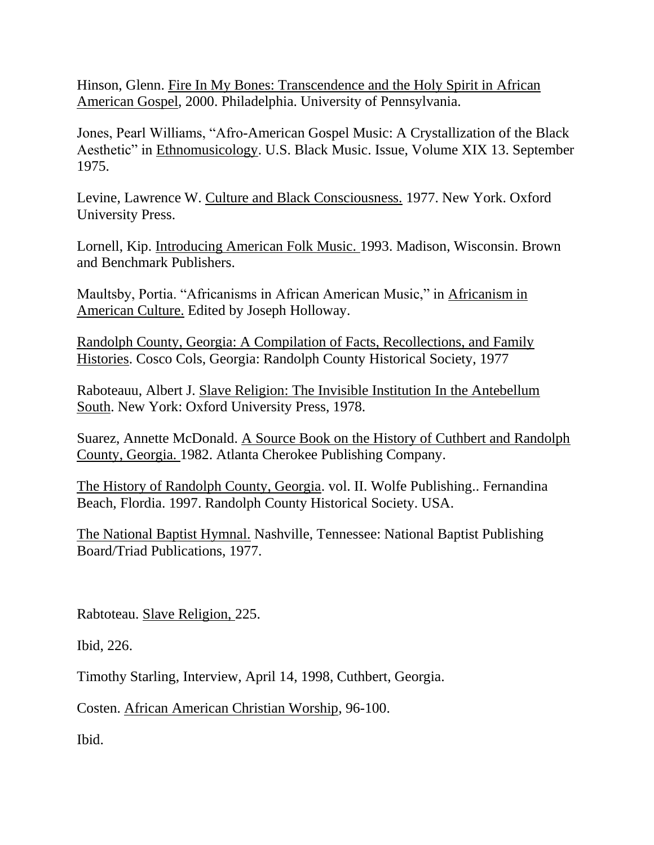Hinson, Glenn. Fire In My Bones: Transcendence and the Holy Spirit in African American Gospel, 2000. Philadelphia. University of Pennsylvania.

Jones, Pearl Williams, "Afro-American Gospel Music: A Crystallization of the Black Aesthetic" in Ethnomusicology. U.S. Black Music. Issue, Volume XIX 13. September 1975.

Levine, Lawrence W. Culture and Black Consciousness. 1977. New York. Oxford University Press.

Lornell, Kip. Introducing American Folk Music. 1993. Madison, Wisconsin. Brown and Benchmark Publishers.

Maultsby, Portia. "Africanisms in African American Music," in Africanism in American Culture. Edited by Joseph Holloway.

Randolph County, Georgia: A Compilation of Facts, Recollections, and Family Histories. Cosco Cols, Georgia: Randolph County Historical Society, 1977

Raboteauu, Albert J. Slave Religion: The Invisible Institution In the Antebellum South. New York: Oxford University Press, 1978.

Suarez, Annette McDonald. A Source Book on the History of Cuthbert and Randolph County, Georgia. 1982. Atlanta Cherokee Publishing Company.

The History of Randolph County, Georgia. vol. II. Wolfe Publishing.. Fernandina Beach, Flordia. 1997. Randolph County Historical Society. USA.

The National Baptist Hymnal. Nashville, Tennessee: National Baptist Publishing Board/Triad Publications, 1977.

Rabtoteau. Slave Religion, 225.

Ibid, 226.

Timothy Starling, Interview, April 14, 1998, Cuthbert, Georgia.

Costen. African American Christian Worship, 96-100.

Ibid.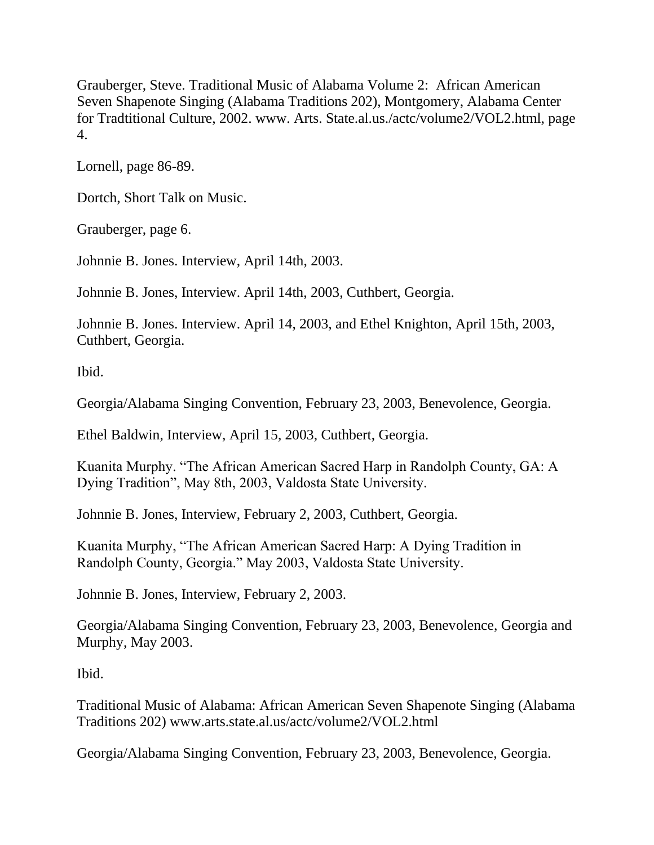Grauberger, Steve. Traditional Music of Alabama Volume 2: African American Seven Shapenote Singing (Alabama Traditions 202), Montgomery, Alabama Center for Tradtitional Culture, 2002. www. Arts. State.al.us./actc/volume2/VOL2.html, page 4.

Lornell, page 86-89.

Dortch, Short Talk on Music.

Grauberger, page 6.

Johnnie B. Jones. Interview, April 14th, 2003.

Johnnie B. Jones, Interview. April 14th, 2003, Cuthbert, Georgia.

Johnnie B. Jones. Interview. April 14, 2003, and Ethel Knighton, April 15th, 2003, Cuthbert, Georgia.

Ibid.

Georgia/Alabama Singing Convention, February 23, 2003, Benevolence, Georgia.

Ethel Baldwin, Interview, April 15, 2003, Cuthbert, Georgia.

Kuanita Murphy. "The African American Sacred Harp in Randolph County, GA: A Dying Tradition", May 8th, 2003, Valdosta State University.

Johnnie B. Jones, Interview, February 2, 2003, Cuthbert, Georgia.

Kuanita Murphy, "The African American Sacred Harp: A Dying Tradition in Randolph County, Georgia." May 2003, Valdosta State University.

Johnnie B. Jones, Interview, February 2, 2003.

Georgia/Alabama Singing Convention, February 23, 2003, Benevolence, Georgia and Murphy, May 2003.

Ibid.

Traditional Music of Alabama: African American Seven Shapenote Singing (Alabama Traditions 202) www.arts.state.al.us/actc/volume2/VOL2.html

Georgia/Alabama Singing Convention, February 23, 2003, Benevolence, Georgia.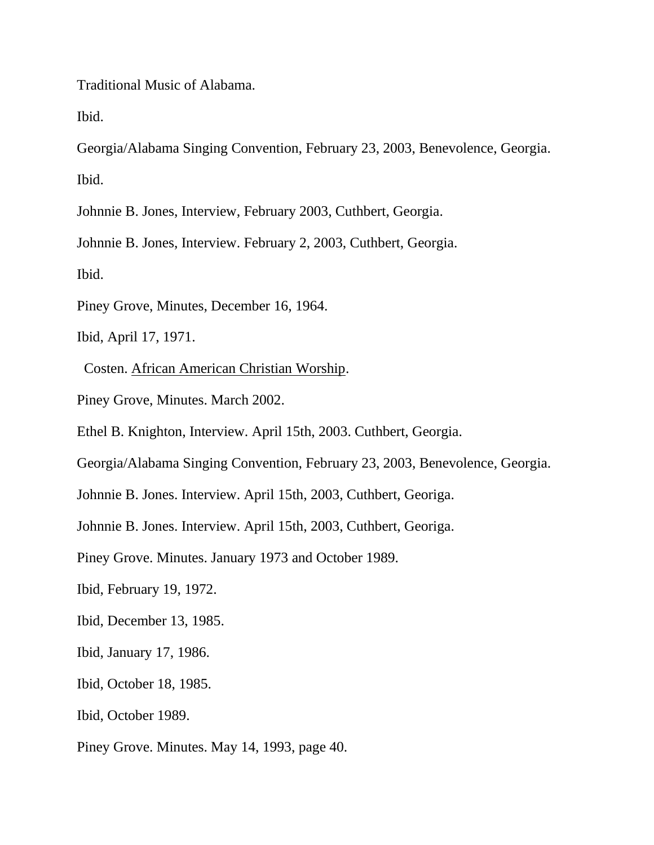Traditional Music of Alabama.

Ibid.

Georgia/Alabama Singing Convention, February 23, 2003, Benevolence, Georgia. Ibid.

Johnnie B. Jones, Interview, February 2003, Cuthbert, Georgia.

Johnnie B. Jones, Interview. February 2, 2003, Cuthbert, Georgia.

Ibid.

Piney Grove, Minutes, December 16, 1964.

Ibid, April 17, 1971.

Costen. African American Christian Worship.

Piney Grove, Minutes. March 2002.

Ethel B. Knighton, Interview. April 15th, 2003. Cuthbert, Georgia.

Georgia/Alabama Singing Convention, February 23, 2003, Benevolence, Georgia.

Johnnie B. Jones. Interview. April 15th, 2003, Cuthbert, Georiga.

Johnnie B. Jones. Interview. April 15th, 2003, Cuthbert, Georiga.

Piney Grove. Minutes. January 1973 and October 1989.

Ibid, February 19, 1972.

Ibid, December 13, 1985.

Ibid, January 17, 1986.

Ibid, October 18, 1985.

Ibid, October 1989.

Piney Grove. Minutes. May 14, 1993, page 40.